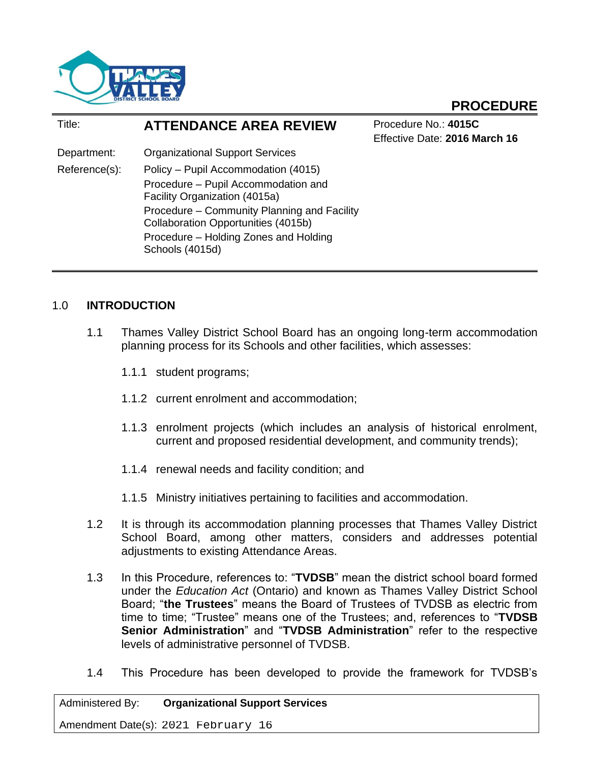

# **PROCEDURE**

| Title:        | <b>ATTENDANCE AREA REVIEW</b>                                                      | Procedure No.: 4015C<br>Effective Date: 2016 March 16 |
|---------------|------------------------------------------------------------------------------------|-------------------------------------------------------|
| Department:   | <b>Organizational Support Services</b>                                             |                                                       |
| Reference(s): | Policy - Pupil Accommodation (4015)                                                |                                                       |
|               | Procedure - Pupil Accommodation and<br>Facility Organization (4015a)               |                                                       |
|               | Procedure – Community Planning and Facility<br>Collaboration Opportunities (4015b) |                                                       |
|               | Procedure - Holding Zones and Holding<br>Schools (4015d)                           |                                                       |

## 1.0 **INTRODUCTION**

- 1.1 Thames Valley District School Board has an ongoing long-term accommodation planning process for its Schools and other facilities, which assesses:
	- 1.1.1 student programs;
	- 1.1.2 current enrolment and accommodation;
	- 1.1.3 enrolment projects (which includes an analysis of historical enrolment, current and proposed residential development, and community trends);
	- 1.1.4 renewal needs and facility condition; and
	- 1.1.5 Ministry initiatives pertaining to facilities and accommodation.
- 1.2 It is through its accommodation planning processes that Thames Valley District School Board, among other matters, considers and addresses potential adjustments to existing Attendance Areas.
- 1.3 In this Procedure, references to: "**TVDSB**" mean the district school board formed under the *Education Act* (Ontario) and known as Thames Valley District School Board; "**the Trustees**" means the Board of Trustees of TVDSB as electric from time to time; "Trustee" means one of the Trustees; and, references to "**TVDSB Senior Administration**" and "**TVDSB Administration**" refer to the respective levels of administrative personnel of TVDSB.
- 1.4 This Procedure has been developed to provide the framework for TVDSB's

Administered By: **Organizational Support Services**

Amendment Date(s): 2021 February 16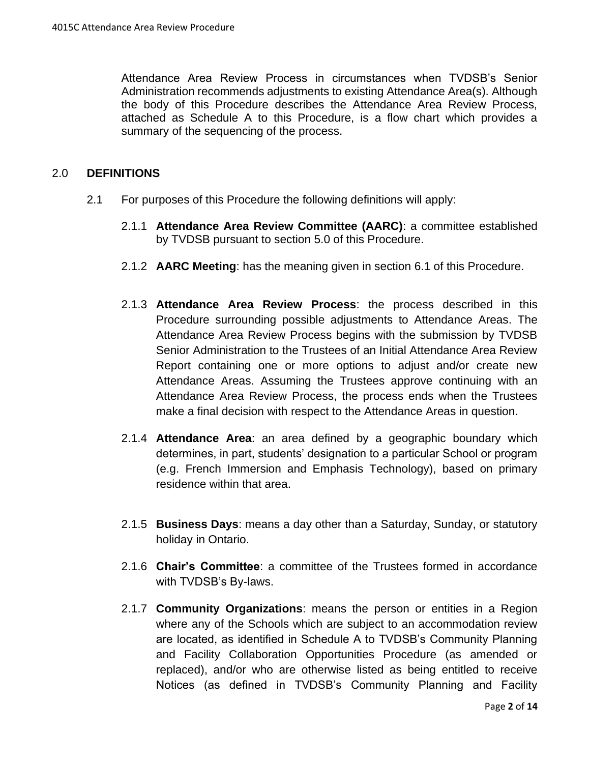Attendance Area Review Process in circumstances when TVDSB's Senior Administration recommends adjustments to existing Attendance Area(s). Although the body of this Procedure describes the Attendance Area Review Process, attached as Schedule A to this Procedure, is a flow chart which provides a summary of the sequencing of the process.

#### 2.0 **DEFINITIONS**

- 2.1 For purposes of this Procedure the following definitions will apply:
	- 2.1.1 **Attendance Area Review Committee (AARC)**: a committee established by TVDSB pursuant to section 5.0 of this Procedure.
	- 2.1.2 **AARC Meeting**: has the meaning given in section [6.1](#page-7-0) of this Procedure.
	- 2.1.3 **Attendance Area Review Process**: the process described in this Procedure surrounding possible adjustments to Attendance Areas. The Attendance Area Review Process begins with the submission by TVDSB Senior Administration to the Trustees of an Initial Attendance Area Review Report containing one or more options to adjust and/or create new Attendance Areas. Assuming the Trustees approve continuing with an Attendance Area Review Process, the process ends when the Trustees make a final decision with respect to the Attendance Areas in question.
	- 2.1.4 **Attendance Area**: an area defined by a geographic boundary which determines, in part, students' designation to a particular School or program (e.g. French Immersion and Emphasis Technology), based on primary residence within that area.
	- 2.1.5 **Business Days**: means a day other than a Saturday, Sunday, or statutory holiday in Ontario.
	- 2.1.6 **Chair's Committee**: a committee of the Trustees formed in accordance with TVDSB's By-laws.
	- 2.1.7 **Community Organizations**: means the person or entities in a Region where any of the Schools which are subject to an accommodation review are located, as identified in Schedule A to TVDSB's Community Planning and Facility Collaboration Opportunities Procedure (as amended or replaced), and/or who are otherwise listed as being entitled to receive Notices (as defined in TVDSB's Community Planning and Facility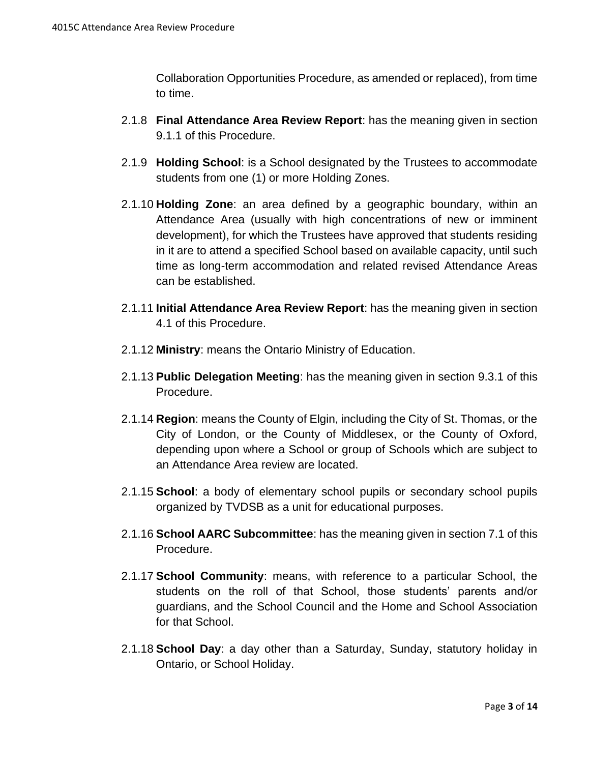Collaboration Opportunities Procedure, as amended or replaced), from time to time.

- 2.1.8 **Final Attendance Area Review Report**: has the meaning given in section [9.1.1](#page-10-0) of this Procedure.
- 2.1.9 **Holding School**: is a School designated by the Trustees to accommodate students from one (1) or more Holding Zones.
- 2.1.10 **Holding Zone**: an area defined by a geographic boundary, within an Attendance Area (usually with high concentrations of new or imminent development), for which the Trustees have approved that students residing in it are to attend a specified School based on available capacity, until such time as long-term accommodation and related revised Attendance Areas can be established.
- 2.1.11 **Initial Attendance Area Review Report**: has the meaning given in section [4.1](#page-4-0) of this Procedure.
- 2.1.12 **Ministry**: means the Ontario Ministry of Education.
- 2.1.13 **Public Delegation Meeting**: has the meaning given in section [9.3.1](#page-11-0) of this Procedure.
- 2.1.14 **Region**: means the County of Elgin, including the City of St. Thomas, or the City of London, or the County of Middlesex, or the County of Oxford, depending upon where a School or group of Schools which are subject to an Attendance Area review are located.
- 2.1.15 **School**: a body of elementary school pupils or secondary school pupils organized by TVDSB as a unit for educational purposes.
- 2.1.16 **School AARC Subcommittee**: has the meaning given in section [7.1](#page-7-1) of this Procedure.
- 2.1.17 **School Community**: means, with reference to a particular School, the students on the roll of that School, those students' parents and/or guardians, and the School Council and the Home and School Association for that School.
- 2.1.18 **School Day**: a day other than a Saturday, Sunday, statutory holiday in Ontario, or School Holiday.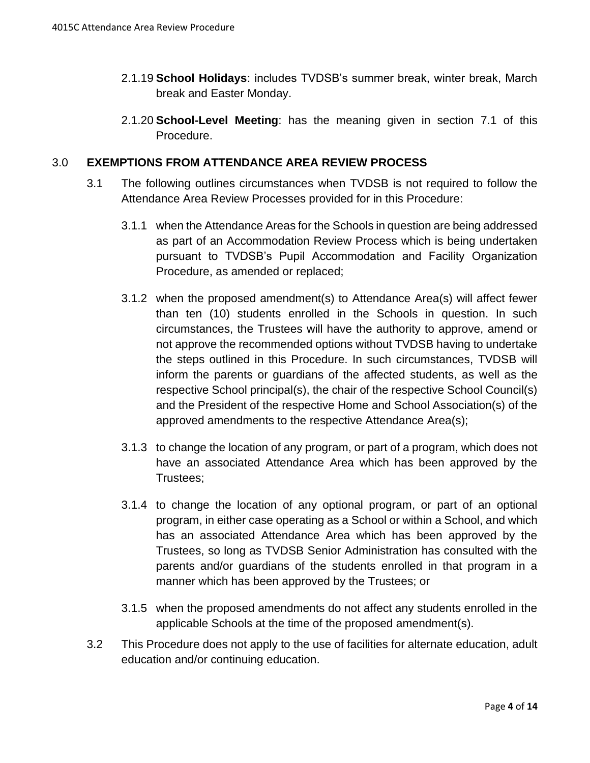- 2.1.19 **School Holidays**: includes TVDSB's summer break, winter break, March break and Easter Monday.
- 2.1.20 **School-Level Meeting**: has the meaning given in section [7.1](#page-7-1) of this Procedure.

#### <span id="page-3-0"></span>3.0 **EXEMPTIONS FROM ATTENDANCE AREA REVIEW PROCESS**

- 3.1 The following outlines circumstances when TVDSB is not required to follow the Attendance Area Review Processes provided for in this Procedure:
	- 3.1.1 when the Attendance Areas for the Schools in question are being addressed as part of an Accommodation Review Process which is being undertaken pursuant to TVDSB's Pupil Accommodation and Facility Organization Procedure, as amended or replaced;
	- 3.1.2 when the proposed amendment(s) to Attendance Area(s) will affect fewer than ten (10) students enrolled in the Schools in question. In such circumstances, the Trustees will have the authority to approve, amend or not approve the recommended options without TVDSB having to undertake the steps outlined in this Procedure. In such circumstances, TVDSB will inform the parents or guardians of the affected students, as well as the respective School principal(s), the chair of the respective School Council(s) and the President of the respective Home and School Association(s) of the approved amendments to the respective Attendance Area(s);
	- 3.1.3 to change the location of any program, or part of a program, which does not have an associated Attendance Area which has been approved by the Trustees;
	- 3.1.4 to change the location of any optional program, or part of an optional program, in either case operating as a School or within a School, and which has an associated Attendance Area which has been approved by the Trustees, so long as TVDSB Senior Administration has consulted with the parents and/or guardians of the students enrolled in that program in a manner which has been approved by the Trustees; or
	- 3.1.5 when the proposed amendments do not affect any students enrolled in the applicable Schools at the time of the proposed amendment(s).
- 3.2 This Procedure does not apply to the use of facilities for alternate education, adult education and/or continuing education.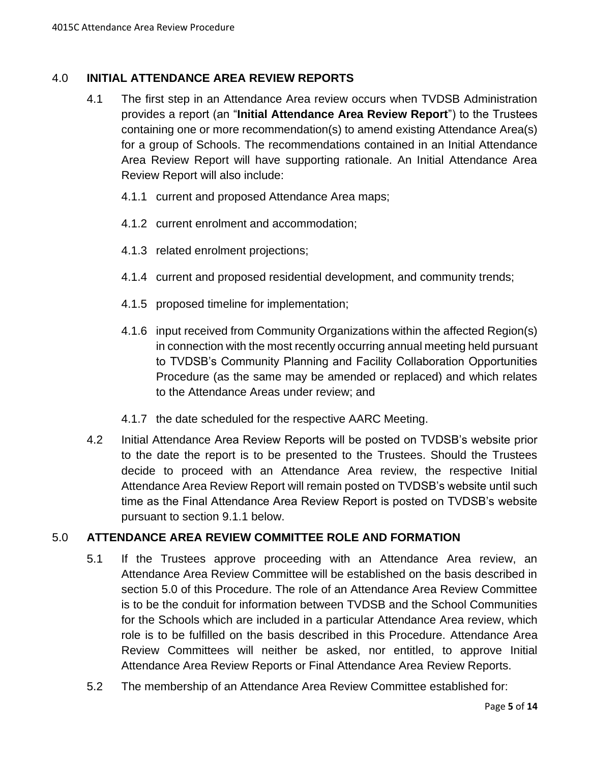## <span id="page-4-0"></span>4.0 **INITIAL ATTENDANCE AREA REVIEW REPORTS**

- 4.1 The first step in an Attendance Area review occurs when TVDSB Administration provides a report (an "**Initial Attendance Area Review Report**") to the Trustees containing one or more recommendation(s) to amend existing Attendance Area(s) for a group of Schools. The recommendations contained in an Initial Attendance Area Review Report will have supporting rationale. An Initial Attendance Area Review Report will also include:
	- 4.1.1 current and proposed Attendance Area maps;
	- 4.1.2 current enrolment and accommodation;
	- 4.1.3 related enrolment projections;
	- 4.1.4 current and proposed residential development, and community trends;
	- 4.1.5 proposed timeline for implementation;
	- 4.1.6 input received from Community Organizations within the affected Region(s) in connection with the most recently occurring annual meeting held pursuant to TVDSB's Community Planning and Facility Collaboration Opportunities Procedure (as the same may be amended or replaced) and which relates to the Attendance Areas under review; and
	- 4.1.7 the date scheduled for the respective AARC Meeting.
- 4.2 Initial Attendance Area Review Reports will be posted on TVDSB's website prior to the date the report is to be presented to the Trustees. Should the Trustees decide to proceed with an Attendance Area review, the respective Initial Attendance Area Review Report will remain posted on TVDSB's website until such time as the Final Attendance Area Review Report is posted on TVDSB's website pursuant to section [9.1.1](#page-10-0) below.

## <span id="page-4-1"></span>5.0 **ATTENDANCE AREA REVIEW COMMITTEE ROLE AND FORMATION**

- 5.1 If the Trustees approve proceeding with an Attendance Area review, an Attendance Area Review Committee will be established on the basis described in section [5.0](#page-4-1) of this Procedure. The role of an Attendance Area Review Committee is to be the conduit for information between TVDSB and the School Communities for the Schools which are included in a particular Attendance Area review, which role is to be fulfilled on the basis described in this Procedure. Attendance Area Review Committees will neither be asked, nor entitled, to approve Initial Attendance Area Review Reports or Final Attendance Area Review Reports.
- <span id="page-4-2"></span>5.2 The membership of an Attendance Area Review Committee established for: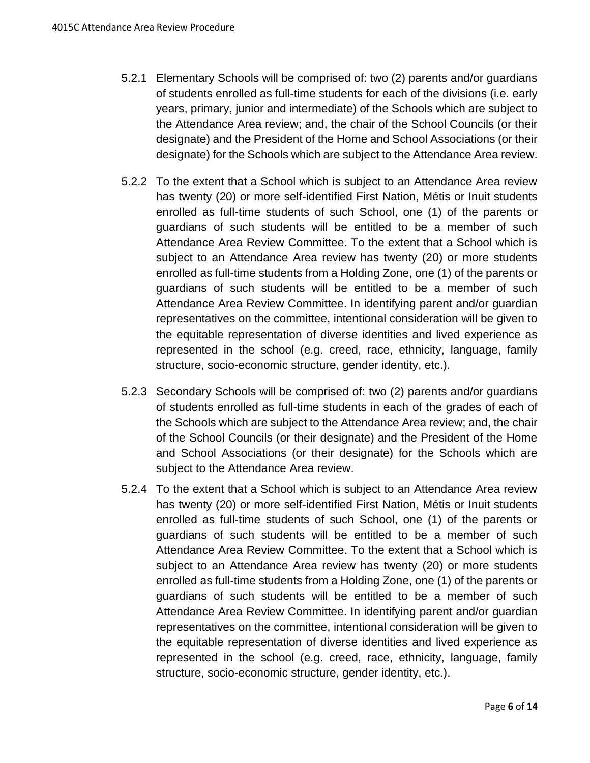- <span id="page-5-0"></span>5.2.1 Elementary Schools will be comprised of: two (2) parents and/or guardians of students enrolled as full-time students for each of the divisions (i.e. early years, primary, junior and intermediate) of the Schools which are subject to the Attendance Area review; and, the chair of the School Councils (or their designate) and the President of the Home and School Associations (or their designate) for the Schools which are subject to the Attendance Area review.
- 5.2.2 To the extent that a School which is subject to an Attendance Area review has twenty (20) or more self-identified First Nation, Métis or Inuit students enrolled as full-time students of such School, one (1) of the parents or guardians of such students will be entitled to be a member of such Attendance Area Review Committee. To the extent that a School which is subject to an Attendance Area review has twenty (20) or more students enrolled as full-time students from a Holding Zone, one (1) of the parents or guardians of such students will be entitled to be a member of such Attendance Area Review Committee. In identifying parent and/or guardian representatives on the committee, intentional consideration will be given to the equitable representation of diverse identities and lived experience as represented in the school (e.g. creed, race, ethnicity, language, family structure, socio-economic structure, gender identity, etc.).
- <span id="page-5-1"></span>5.2.3 Secondary Schools will be comprised of: two (2) parents and/or guardians of students enrolled as full-time students in each of the grades of each of the Schools which are subject to the Attendance Area review; and, the chair of the School Councils (or their designate) and the President of the Home and School Associations (or their designate) for the Schools which are subject to the Attendance Area review.
- 5.2.4 To the extent that a School which is subject to an Attendance Area review has twenty (20) or more self-identified First Nation, Métis or Inuit students enrolled as full-time students of such School, one (1) of the parents or guardians of such students will be entitled to be a member of such Attendance Area Review Committee. To the extent that a School which is subject to an Attendance Area review has twenty (20) or more students enrolled as full-time students from a Holding Zone, one (1) of the parents or guardians of such students will be entitled to be a member of such Attendance Area Review Committee. In identifying parent and/or guardian representatives on the committee, intentional consideration will be given to the equitable representation of diverse identities and lived experience as represented in the school (e.g. creed, race, ethnicity, language, family structure, socio-economic structure, gender identity, etc.).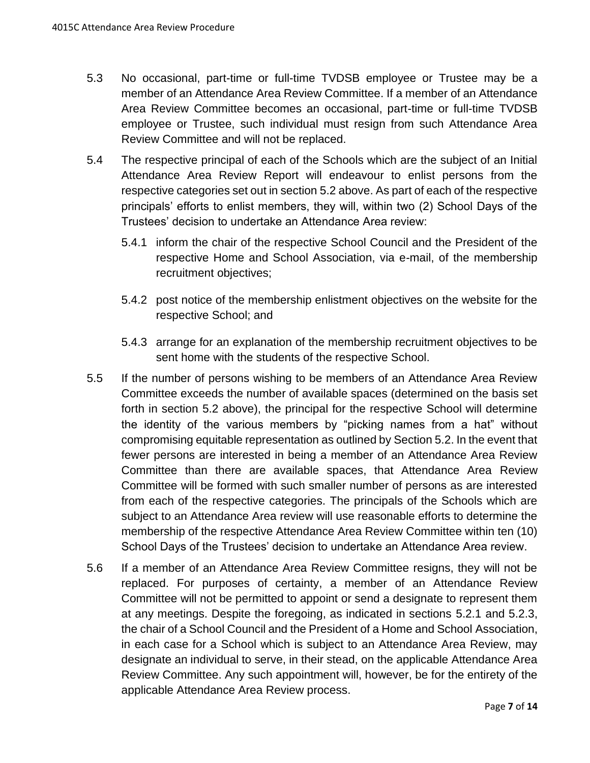- 5.3 No occasional, part-time or full-time TVDSB employee or Trustee may be a member of an Attendance Area Review Committee. If a member of an Attendance Area Review Committee becomes an occasional, part-time or full-time TVDSB employee or Trustee, such individual must resign from such Attendance Area Review Committee and will not be replaced.
- 5.4 The respective principal of each of the Schools which are the subject of an Initial Attendance Area Review Report will endeavour to enlist persons from the respective categories set out in section [5.2](#page-4-2) above. As part of each of the respective principals' efforts to enlist members, they will, within two (2) School Days of the Trustees' decision to undertake an Attendance Area review:
	- 5.4.1 inform the chair of the respective School Council and the President of the respective Home and School Association, via e-mail, of the membership recruitment objectives;
	- 5.4.2 post notice of the membership enlistment objectives on the website for the respective School; and
	- 5.4.3 arrange for an explanation of the membership recruitment objectives to be sent home with the students of the respective School.
- 5.5 If the number of persons wishing to be members of an Attendance Area Review Committee exceeds the number of available spaces (determined on the basis set forth in section [5.2](#page-4-2) above), the principal for the respective School will determine the identity of the various members by "picking names from a hat" without compromising equitable representation as outlined by Section 5.2. In the event that fewer persons are interested in being a member of an Attendance Area Review Committee than there are available spaces, that Attendance Area Review Committee will be formed with such smaller number of persons as are interested from each of the respective categories. The principals of the Schools which are subject to an Attendance Area review will use reasonable efforts to determine the membership of the respective Attendance Area Review Committee within ten (10) School Days of the Trustees' decision to undertake an Attendance Area review.
- 5.6 If a member of an Attendance Area Review Committee resigns, they will not be replaced. For purposes of certainty, a member of an Attendance Review Committee will not be permitted to appoint or send a designate to represent them at any meetings. Despite the foregoing, as indicated in sections [5.2.1](#page-5-0) and [5.2.3,](#page-5-1) the chair of a School Council and the President of a Home and School Association, in each case for a School which is subject to an Attendance Area Review, may designate an individual to serve, in their stead, on the applicable Attendance Area Review Committee. Any such appointment will, however, be for the entirety of the applicable Attendance Area Review process.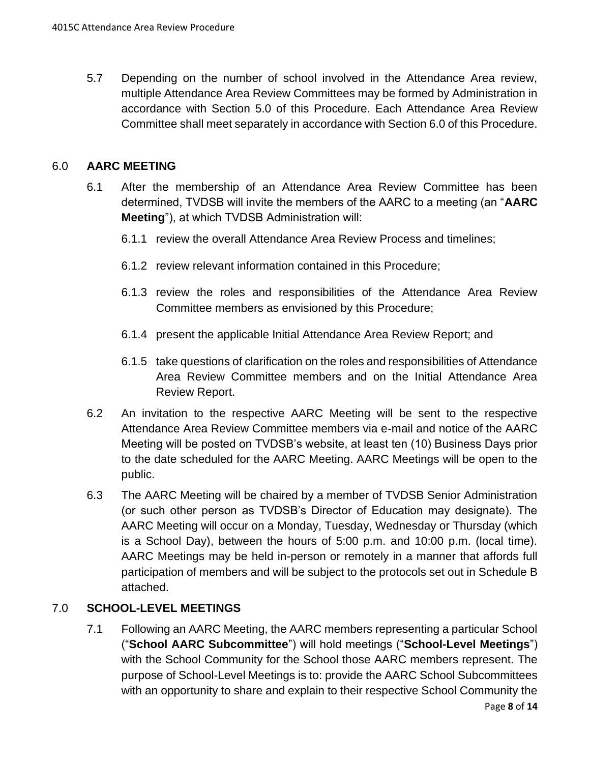5.7 Depending on the number of school involved in the Attendance Area review, multiple Attendance Area Review Committees may be formed by Administration in accordance with Section 5.0 of this Procedure. Each Attendance Area Review Committee shall meet separately in accordance with Section 6.0 of this Procedure.

## <span id="page-7-0"></span>6.0 **AARC MEETING**

- 6.1 After the membership of an Attendance Area Review Committee has been determined, TVDSB will invite the members of the AARC to a meeting (an "**AARC Meeting**"), at which TVDSB Administration will:
	- 6.1.1 review the overall Attendance Area Review Process and timelines;
	- 6.1.2 review relevant information contained in this Procedure;
	- 6.1.3 review the roles and responsibilities of the Attendance Area Review Committee members as envisioned by this Procedure;
	- 6.1.4 present the applicable Initial Attendance Area Review Report; and
	- 6.1.5 take questions of clarification on the roles and responsibilities of Attendance Area Review Committee members and on the Initial Attendance Area Review Report.
- 6.2 An invitation to the respective AARC Meeting will be sent to the respective Attendance Area Review Committee members via e-mail and notice of the AARC Meeting will be posted on TVDSB's website, at least ten (10) Business Days prior to the date scheduled for the AARC Meeting. AARC Meetings will be open to the public.
- 6.3 The AARC Meeting will be chaired by a member of TVDSB Senior Administration (or such other person as TVDSB's Director of Education may designate). The AARC Meeting will occur on a Monday, Tuesday, Wednesday or Thursday (which is a School Day), between the hours of 5:00 p.m. and 10:00 p.m. (local time). AARC Meetings may be held in-person or remotely in a manner that affords full participation of members and will be subject to the protocols set out in Schedule B attached.

## <span id="page-7-1"></span>7.0 **SCHOOL-LEVEL MEETINGS**

7.1 Following an AARC Meeting, the AARC members representing a particular School ("**School AARC Subcommittee**") will hold meetings ("**School-Level Meetings**") with the School Community for the School those AARC members represent. The purpose of School-Level Meetings is to: provide the AARC School Subcommittees with an opportunity to share and explain to their respective School Community the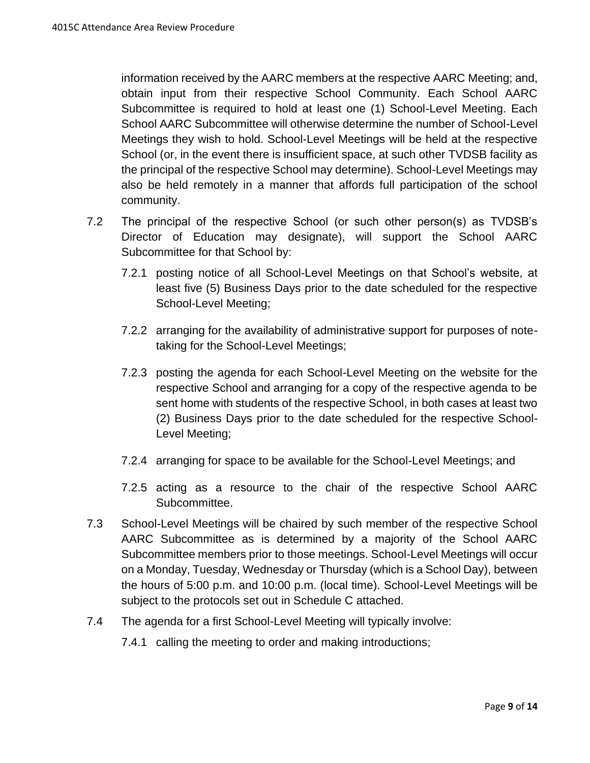information received by the AARC members at the respective AARC Meeting; and, obtain input from their respective School Community. Each School AARC Subcommittee is required to hold at least one (1) School-Level Meeting. Each School AARC Subcommittee will otherwise determine the number of School-Level Meetings they wish to hold. School-Level Meetings will be held at the respective School (or, in the event there is insufficient space, at such other TVDSB facility as the principal of the respective School may determine). School-Level Meetings may also be held remotely in a manner that affords full participation of the school community.

- 7.2 The principal of the respective School (or such other person(s) as TVDSB's Director of Education may designate), will support the School AARC Subcommittee for that School by:
	- 7.2.1 posting notice of all School-Level Meetings on that School's website, at least five (5) Business Days prior to the date scheduled for the respective School-Level Meeting;
	- 7.2.2 arranging for the availability of administrative support for purposes of notetaking for the School-Level Meetings;
	- 7.2.3 posting the agenda for each School-Level Meeting on the website for the respective School and arranging for a copy of the respective agenda to be sent home with students of the respective School, in both cases at least two (2) Business Days prior to the date scheduled for the respective School-Level Meeting;
	- 7.2.4 arranging for space to be available for the School-Level Meetings; and
	- 7.2.5 acting as a resource to the chair of the respective School AARC Subcommittee.
- 7.3 School-Level Meetings will be chaired by such member of the respective School AARC Subcommittee as is determined by a majority of the School AARC Subcommittee members prior to those meetings. School-Level Meetings will occur on a Monday, Tuesday, Wednesday or Thursday (which is a School Day), between the hours of 5:00 p.m. and 10:00 p.m. (local time). School-Level Meetings will be subject to the protocols set out in Schedule C attached.
- 7.4 The agenda for a first School-Level Meeting will typically involve:
	- 7.4.1 calling the meeting to order and making introductions;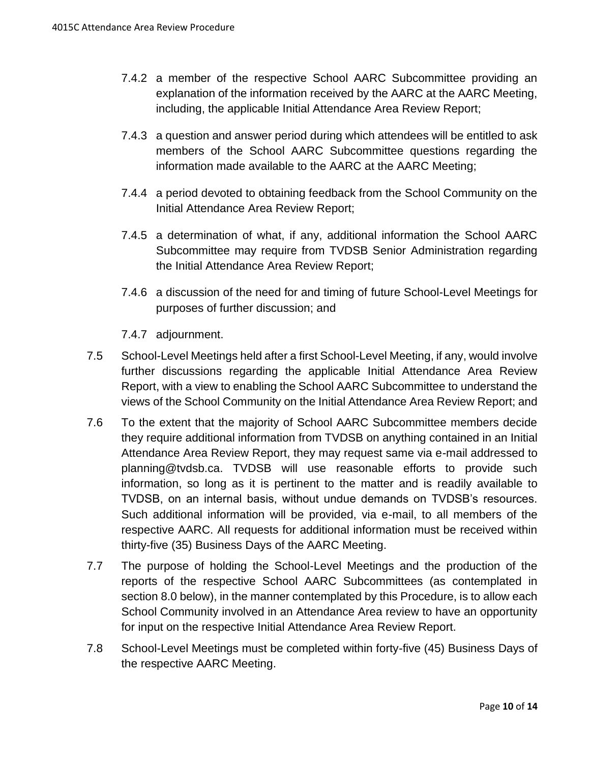- 7.4.2 a member of the respective School AARC Subcommittee providing an explanation of the information received by the AARC at the AARC Meeting, including, the applicable Initial Attendance Area Review Report;
- 7.4.3 a question and answer period during which attendees will be entitled to ask members of the School AARC Subcommittee questions regarding the information made available to the AARC at the AARC Meeting;
- 7.4.4 a period devoted to obtaining feedback from the School Community on the Initial Attendance Area Review Report;
- 7.4.5 a determination of what, if any, additional information the School AARC Subcommittee may require from TVDSB Senior Administration regarding the Initial Attendance Area Review Report;
- 7.4.6 a discussion of the need for and timing of future School-Level Meetings for purposes of further discussion; and

7.4.7 adjournment.

- 7.5 School-Level Meetings held after a first School-Level Meeting, if any, would involve further discussions regarding the applicable Initial Attendance Area Review Report, with a view to enabling the School AARC Subcommittee to understand the views of the School Community on the Initial Attendance Area Review Report; and
- 7.6 To the extent that the majority of School AARC Subcommittee members decide they require additional information from TVDSB on anything contained in an Initial Attendance Area Review Report, they may request same via e-mail addressed to planning@tvdsb.ca. TVDSB will use reasonable efforts to provide such information, so long as it is pertinent to the matter and is readily available to TVDSB, on an internal basis, without undue demands on TVDSB's resources. Such additional information will be provided, via e-mail, to all members of the respective AARC. All requests for additional information must be received within thirty-five (35) Business Days of the AARC Meeting.
- 7.7 The purpose of holding the School-Level Meetings and the production of the reports of the respective School AARC Subcommittees (as contemplated in section [8.0](#page-10-1) below), in the manner contemplated by this Procedure, is to allow each School Community involved in an Attendance Area review to have an opportunity for input on the respective Initial Attendance Area Review Report.
- 7.8 School-Level Meetings must be completed within forty-five (45) Business Days of the respective AARC Meeting.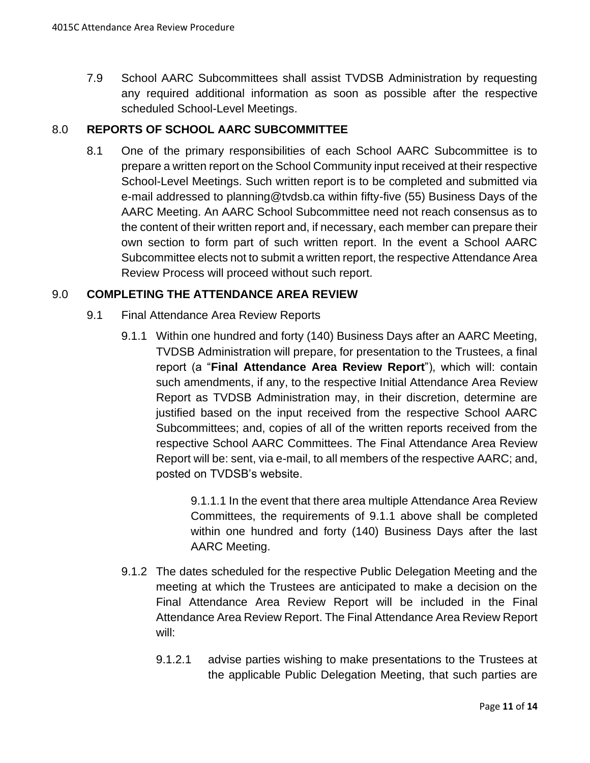7.9 School AARC Subcommittees shall assist TVDSB Administration by requesting any required additional information as soon as possible after the respective scheduled School-Level Meetings.

## <span id="page-10-1"></span>8.0 **REPORTS OF SCHOOL AARC SUBCOMMITTEE**

8.1 One of the primary responsibilities of each School AARC Subcommittee is to prepare a written report on the School Community input received at their respective School-Level Meetings. Such written report is to be completed and submitted via e-mail addressed to planning@tvdsb.ca within fifty-five (55) Business Days of the AARC Meeting. An AARC School Subcommittee need not reach consensus as to the content of their written report and, if necessary, each member can prepare their own section to form part of such written report. In the event a School AARC Subcommittee elects not to submit a written report, the respective Attendance Area Review Process will proceed without such report.

## <span id="page-10-0"></span>9.0 **COMPLETING THE ATTENDANCE AREA REVIEW**

- 9.1 Final Attendance Area Review Reports
	- 9.1.1 Within one hundred and forty (140) Business Days after an AARC Meeting, TVDSB Administration will prepare, for presentation to the Trustees, a final report (a "**Final Attendance Area Review Report**"), which will: contain such amendments, if any, to the respective Initial Attendance Area Review Report as TVDSB Administration may, in their discretion, determine are justified based on the input received from the respective School AARC Subcommittees; and, copies of all of the written reports received from the respective School AARC Committees. The Final Attendance Area Review Report will be: sent, via e-mail, to all members of the respective AARC; and, posted on TVDSB's website.

9.1.1.1 In the event that there area multiple Attendance Area Review Committees, the requirements of 9.1.1 above shall be completed within one hundred and forty (140) Business Days after the last AARC Meeting.

- 9.1.2 The dates scheduled for the respective Public Delegation Meeting and the meeting at which the Trustees are anticipated to make a decision on the Final Attendance Area Review Report will be included in the Final Attendance Area Review Report. The Final Attendance Area Review Report will:
	- 9.1.2.1 advise parties wishing to make presentations to the Trustees at the applicable Public Delegation Meeting, that such parties are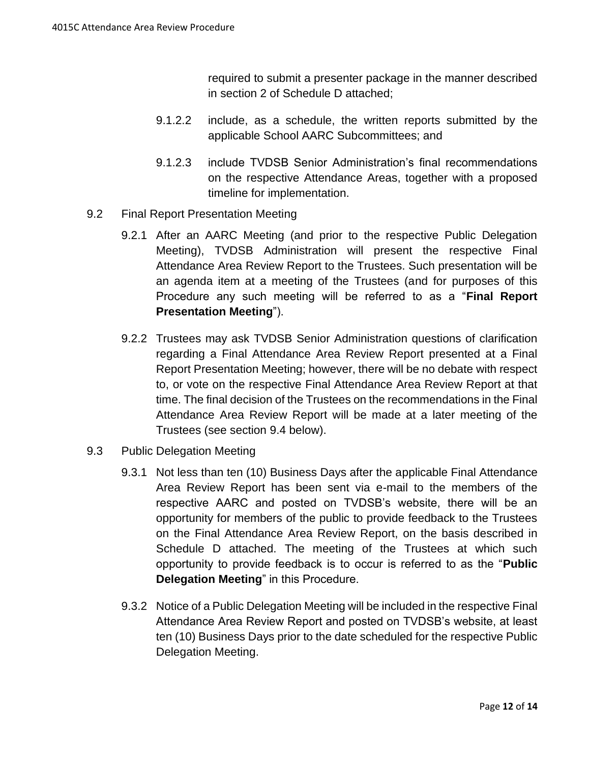required to submit a presenter package in the manner described in section 2 of Schedule D attached;

- 9.1.2.2 include, as a schedule, the written reports submitted by the applicable School AARC Subcommittees; and
- 9.1.2.3 include TVDSB Senior Administration's final recommendations on the respective Attendance Areas, together with a proposed timeline for implementation.
- 9.2 Final Report Presentation Meeting
	- 9.2.1 After an AARC Meeting (and prior to the respective Public Delegation Meeting), TVDSB Administration will present the respective Final Attendance Area Review Report to the Trustees. Such presentation will be an agenda item at a meeting of the Trustees (and for purposes of this Procedure any such meeting will be referred to as a "**Final Report Presentation Meeting**").
	- 9.2.2 Trustees may ask TVDSB Senior Administration questions of clarification regarding a Final Attendance Area Review Report presented at a Final Report Presentation Meeting; however, there will be no debate with respect to, or vote on the respective Final Attendance Area Review Report at that time. The final decision of the Trustees on the recommendations in the Final Attendance Area Review Report will be made at a later meeting of the Trustees (see section [9.4](#page-12-0) below).
- <span id="page-11-0"></span>9.3 Public Delegation Meeting
	- 9.3.1 Not less than ten (10) Business Days after the applicable Final Attendance Area Review Report has been sent via e-mail to the members of the respective AARC and posted on TVDSB's website, there will be an opportunity for members of the public to provide feedback to the Trustees on the Final Attendance Area Review Report, on the basis described in Schedule D attached. The meeting of the Trustees at which such opportunity to provide feedback is to occur is referred to as the "**Public Delegation Meeting**" in this Procedure.
	- 9.3.2 Notice of a Public Delegation Meeting will be included in the respective Final Attendance Area Review Report and posted on TVDSB's website, at least ten (10) Business Days prior to the date scheduled for the respective Public Delegation Meeting.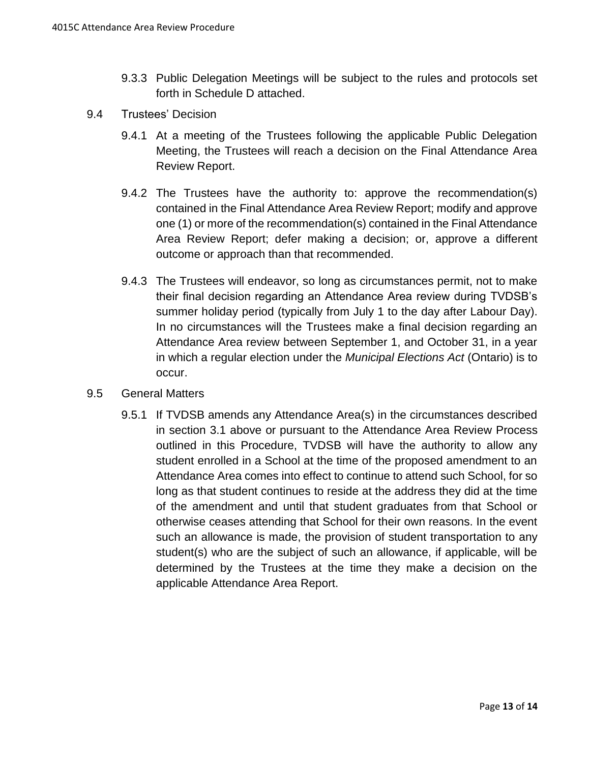- 9.3.3 Public Delegation Meetings will be subject to the rules and protocols set forth in Schedule D attached.
- <span id="page-12-0"></span>9.4 Trustees' Decision
	- 9.4.1 At a meeting of the Trustees following the applicable Public Delegation Meeting, the Trustees will reach a decision on the Final Attendance Area Review Report.
	- 9.4.2 The Trustees have the authority to: approve the recommendation(s) contained in the Final Attendance Area Review Report; modify and approve one (1) or more of the recommendation(s) contained in the Final Attendance Area Review Report; defer making a decision; or, approve a different outcome or approach than that recommended.
	- 9.4.3 The Trustees will endeavor, so long as circumstances permit, not to make their final decision regarding an Attendance Area review during TVDSB's summer holiday period (typically from July 1 to the day after Labour Day). In no circumstances will the Trustees make a final decision regarding an Attendance Area review between September 1, and October 31, in a year in which a regular election under the *Municipal Elections Act* (Ontario) is to occur.
- 9.5 General Matters
	- 9.5.1 If TVDSB amends any Attendance Area(s) in the circumstances described in section [3.1](#page-3-0) above or pursuant to the Attendance Area Review Process outlined in this Procedure, TVDSB will have the authority to allow any student enrolled in a School at the time of the proposed amendment to an Attendance Area comes into effect to continue to attend such School, for so long as that student continues to reside at the address they did at the time of the amendment and until that student graduates from that School or otherwise ceases attending that School for their own reasons. In the event such an allowance is made, the provision of student transportation to any student(s) who are the subject of such an allowance, if applicable, will be determined by the Trustees at the time they make a decision on the applicable Attendance Area Report.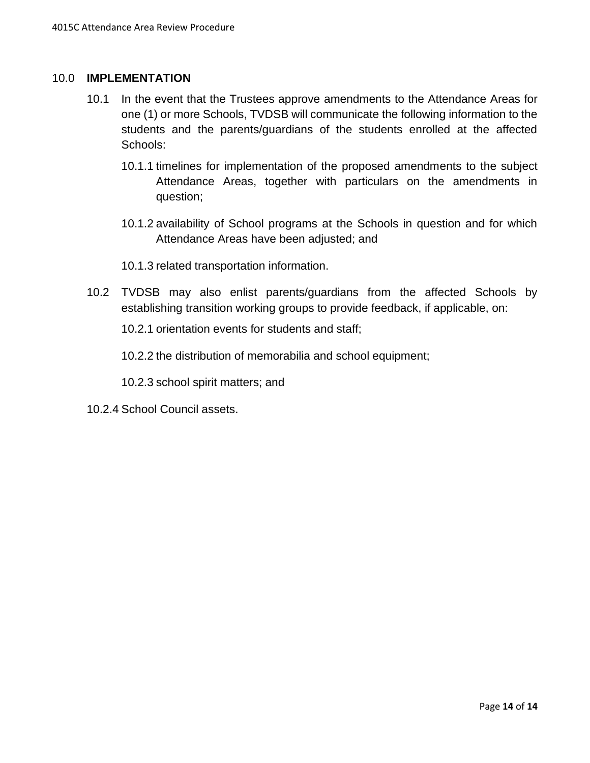#### 10.0 **IMPLEMENTATION**

- 10.1 In the event that the Trustees approve amendments to the Attendance Areas for one (1) or more Schools, TVDSB will communicate the following information to the students and the parents/guardians of the students enrolled at the affected Schools:
	- 10.1.1 timelines for implementation of the proposed amendments to the subject Attendance Areas, together with particulars on the amendments in question;
	- 10.1.2 availability of School programs at the Schools in question and for which Attendance Areas have been adjusted; and
	- 10.1.3 related transportation information.
- 10.2 TVDSB may also enlist parents/guardians from the affected Schools by establishing transition working groups to provide feedback, if applicable, on:
	- 10.2.1 orientation events for students and staff;
	- 10.2.2 the distribution of memorabilia and school equipment;
	- 10.2.3 school spirit matters; and
- 10.2.4 School Council assets.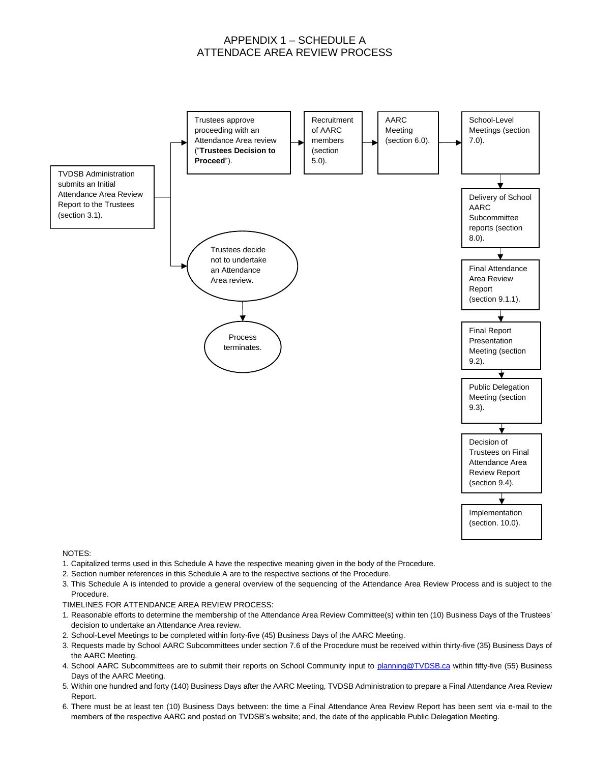#### APPENDIX 1 – SCHEDULE A ATTENDACE AREA REVIEW PROCESS



#### NOTES:

- 1. Capitalized terms used in this Schedule A have the respective meaning given in the body of the Procedure.
- 2. Section number references in this Schedule A are to the respective sections of the Procedure.
- 3. This Schedule A is intended to provide a general overview of the sequencing of the Attendance Area Review Process and is subject to the Procedure.
- TIMELINES FOR ATTENDANCE AREA REVIEW PROCESS:
- 1. Reasonable efforts to determine the membership of the Attendance Area Review Committee(s) within ten (10) Business Days of the Trustees' decision to undertake an Attendance Area review.
- 2. School-Level Meetings to be completed within forty-five (45) Business Days of the AARC Meeting.
- 3. Requests made by School AARC Subcommittees under section 7.6 of the Procedure must be received within thirty-five (35) Business Days of the AARC Meeting.
- 4. School AARC Subcommittees are to submit their reports on School Community input to [planning@TVDSB.ca](mailto:planning@TVDSB.ca) within fifty-five (55) Business Days of the AARC Meeting.
- 5. Within one hundred and forty (140) Business Days after the AARC Meeting, TVDSB Administration to prepare a Final Attendance Area Review Report.
- 6. There must be at least ten (10) Business Days between: the time a Final Attendance Area Review Report has been sent via e-mail to the members of the respective AARC and posted on TVDSB's website; and, the date of the applicable Public Delegation Meeting.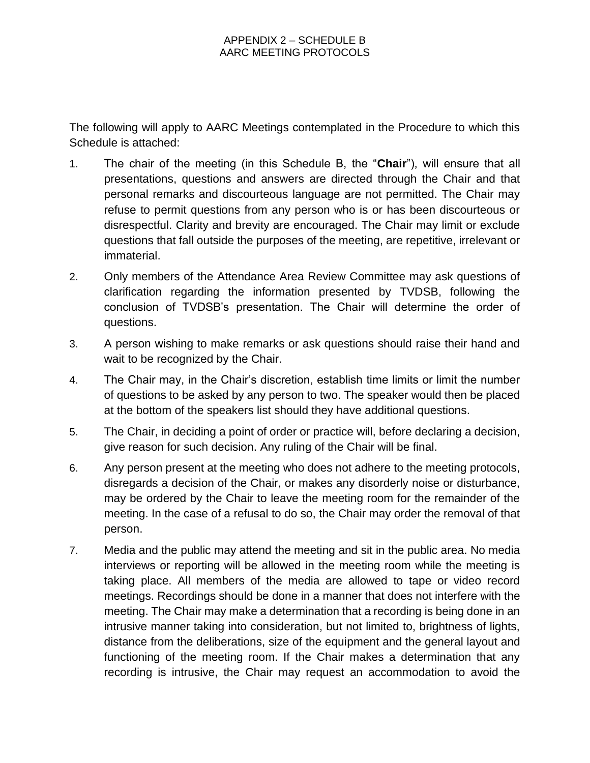The following will apply to AARC Meetings contemplated in the Procedure to which this Schedule is attached:

- 1. The chair of the meeting (in this Schedule B, the "**Chair**"), will ensure that all presentations, questions and answers are directed through the Chair and that personal remarks and discourteous language are not permitted. The Chair may refuse to permit questions from any person who is or has been discourteous or disrespectful. Clarity and brevity are encouraged. The Chair may limit or exclude questions that fall outside the purposes of the meeting, are repetitive, irrelevant or immaterial.
- 2. Only members of the Attendance Area Review Committee may ask questions of clarification regarding the information presented by TVDSB, following the conclusion of TVDSB's presentation. The Chair will determine the order of questions.
- 3. A person wishing to make remarks or ask questions should raise their hand and wait to be recognized by the Chair.
- 4. The Chair may, in the Chair's discretion, establish time limits or limit the number of questions to be asked by any person to two. The speaker would then be placed at the bottom of the speakers list should they have additional questions.
- 5. The Chair, in deciding a point of order or practice will, before declaring a decision, give reason for such decision. Any ruling of the Chair will be final.
- 6. Any person present at the meeting who does not adhere to the meeting protocols, disregards a decision of the Chair, or makes any disorderly noise or disturbance, may be ordered by the Chair to leave the meeting room for the remainder of the meeting. In the case of a refusal to do so, the Chair may order the removal of that person.
- 7. Media and the public may attend the meeting and sit in the public area. No media interviews or reporting will be allowed in the meeting room while the meeting is taking place. All members of the media are allowed to tape or video record meetings. Recordings should be done in a manner that does not interfere with the meeting. The Chair may make a determination that a recording is being done in an intrusive manner taking into consideration, but not limited to, brightness of lights, distance from the deliberations, size of the equipment and the general layout and functioning of the meeting room. If the Chair makes a determination that any recording is intrusive, the Chair may request an accommodation to avoid the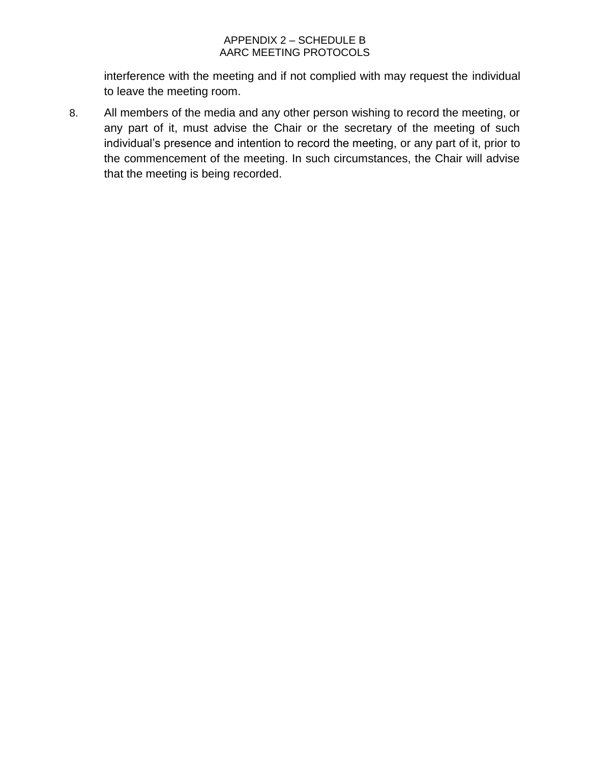#### APPENDIX 2 – SCHEDULE B AARC MEETING PROTOCOLS

interference with the meeting and if not complied with may request the individual to leave the meeting room.

8. All members of the media and any other person wishing to record the meeting, or any part of it, must advise the Chair or the secretary of the meeting of such individual's presence and intention to record the meeting, or any part of it, prior to the commencement of the meeting. In such circumstances, the Chair will advise that the meeting is being recorded.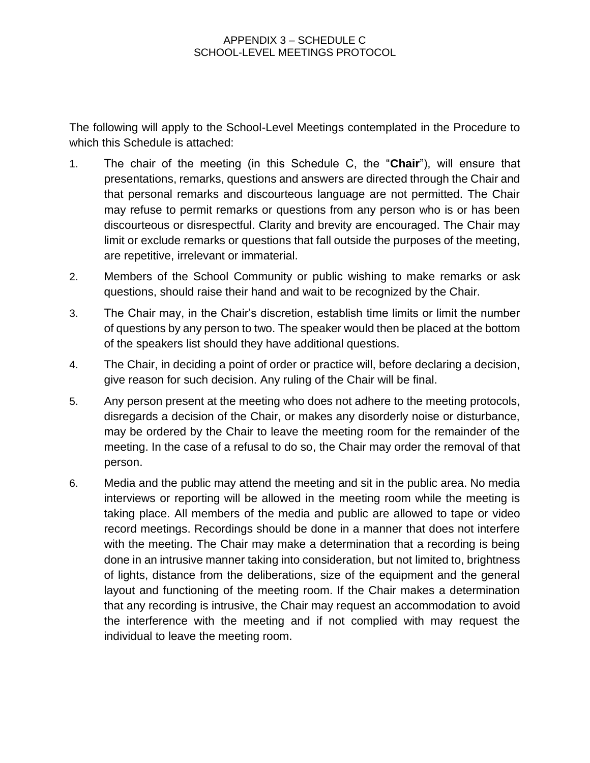The following will apply to the School-Level Meetings contemplated in the Procedure to which this Schedule is attached:

- 1. The chair of the meeting (in this Schedule C, the "**Chair**"), will ensure that presentations, remarks, questions and answers are directed through the Chair and that personal remarks and discourteous language are not permitted. The Chair may refuse to permit remarks or questions from any person who is or has been discourteous or disrespectful. Clarity and brevity are encouraged. The Chair may limit or exclude remarks or questions that fall outside the purposes of the meeting, are repetitive, irrelevant or immaterial.
- 2. Members of the School Community or public wishing to make remarks or ask questions, should raise their hand and wait to be recognized by the Chair.
- 3. The Chair may, in the Chair's discretion, establish time limits or limit the number of questions by any person to two. The speaker would then be placed at the bottom of the speakers list should they have additional questions.
- 4. The Chair, in deciding a point of order or practice will, before declaring a decision, give reason for such decision. Any ruling of the Chair will be final.
- 5. Any person present at the meeting who does not adhere to the meeting protocols, disregards a decision of the Chair, or makes any disorderly noise or disturbance, may be ordered by the Chair to leave the meeting room for the remainder of the meeting. In the case of a refusal to do so, the Chair may order the removal of that person.
- 6. Media and the public may attend the meeting and sit in the public area. No media interviews or reporting will be allowed in the meeting room while the meeting is taking place. All members of the media and public are allowed to tape or video record meetings. Recordings should be done in a manner that does not interfere with the meeting. The Chair may make a determination that a recording is being done in an intrusive manner taking into consideration, but not limited to, brightness of lights, distance from the deliberations, size of the equipment and the general layout and functioning of the meeting room. If the Chair makes a determination that any recording is intrusive, the Chair may request an accommodation to avoid the interference with the meeting and if not complied with may request the individual to leave the meeting room.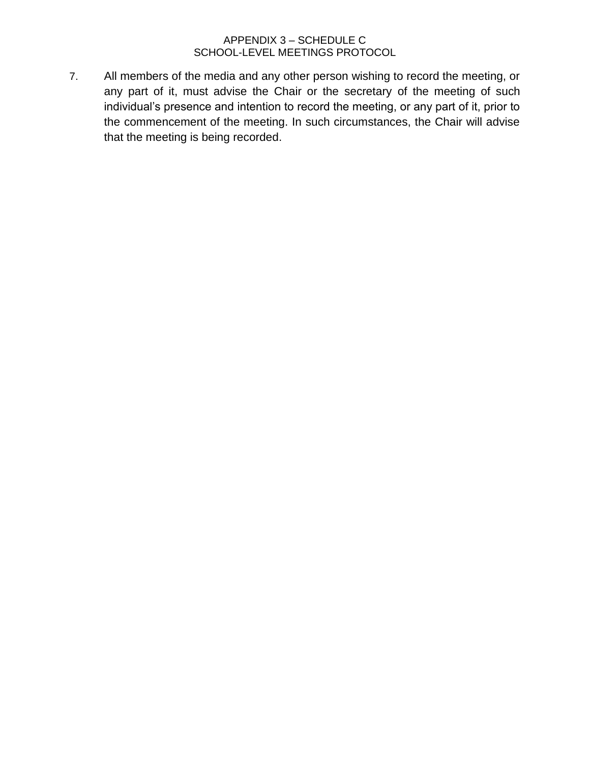#### APPENDIX 3 – SCHEDULE C SCHOOL-LEVEL MEETINGS PROTOCOL

7. All members of the media and any other person wishing to record the meeting, or any part of it, must advise the Chair or the secretary of the meeting of such individual's presence and intention to record the meeting, or any part of it, prior to the commencement of the meeting. In such circumstances, the Chair will advise that the meeting is being recorded.